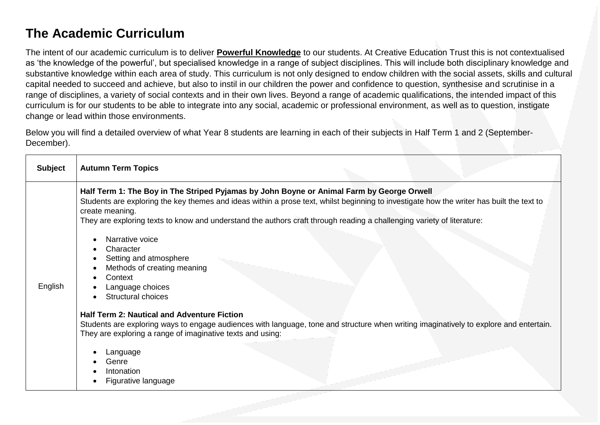## **The Academic Curriculum**

The intent of our academic curriculum is to deliver **Powerful Knowledge** to our students. At Creative Education Trust this is not contextualised as 'the knowledge of the powerful', but specialised knowledge in a range of subject disciplines. This will include both disciplinary knowledge and substantive knowledge within each area of study. This curriculum is not only designed to endow children with the social assets, skills and cultural capital needed to succeed and achieve, but also to instil in our children the power and confidence to question, synthesise and scrutinise in a range of disciplines, a variety of social contexts and in their own lives. Beyond a range of academic qualifications, the intended impact of this curriculum is for our students to be able to integrate into any social, academic or professional environment, as well as to question, instigate change or lead within those environments.

Below you will find a detailed overview of what Year 8 students are learning in each of their subjects in Half Term 1 and 2 (September-December).

| <b>Subject</b> | <b>Autumn Term Topics</b>                                                                                                                                                                                                                                                                                                                                                                                                                                                                                                                                                                                                                                                                                                                                                                                                                                              |
|----------------|------------------------------------------------------------------------------------------------------------------------------------------------------------------------------------------------------------------------------------------------------------------------------------------------------------------------------------------------------------------------------------------------------------------------------------------------------------------------------------------------------------------------------------------------------------------------------------------------------------------------------------------------------------------------------------------------------------------------------------------------------------------------------------------------------------------------------------------------------------------------|
| English        | Half Term 1: The Boy in The Striped Pyjamas by John Boyne or Animal Farm by George Orwell<br>Students are exploring the key themes and ideas within a prose text, whilst beginning to investigate how the writer has built the text to<br>create meaning.<br>They are exploring texts to know and understand the authors craft through reading a challenging variety of literature:<br>Narrative voice<br>$\bullet$<br>Character<br>Setting and atmosphere<br>Methods of creating meaning<br>Context<br>Language choices<br>Structural choices<br><b>Half Term 2: Nautical and Adventure Fiction</b><br>Students are exploring ways to engage audiences with language, tone and structure when writing imaginatively to explore and entertain.<br>They are exploring a range of imaginative texts and using:<br>Language<br>Genre<br>Intonation<br>Figurative language |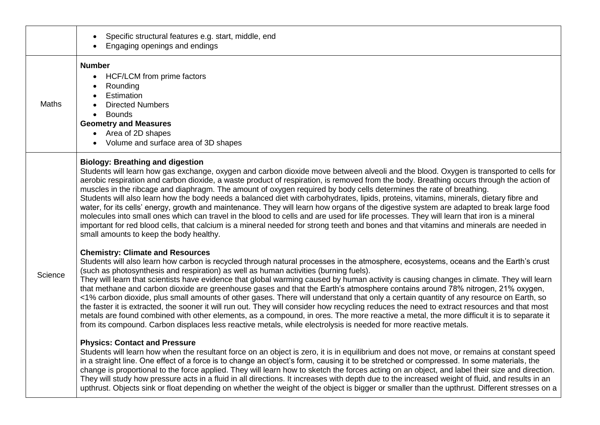|              | Specific structural features e.g. start, middle, end<br>$\bullet$<br>Engaging openings and endings                                                                                                                                                                                                                                                                                                                                                                                                                                                                                                                                                                                                                                                                                                                                                                                                                                                                                                                                                                                                                  |
|--------------|---------------------------------------------------------------------------------------------------------------------------------------------------------------------------------------------------------------------------------------------------------------------------------------------------------------------------------------------------------------------------------------------------------------------------------------------------------------------------------------------------------------------------------------------------------------------------------------------------------------------------------------------------------------------------------------------------------------------------------------------------------------------------------------------------------------------------------------------------------------------------------------------------------------------------------------------------------------------------------------------------------------------------------------------------------------------------------------------------------------------|
| <b>Maths</b> | <b>Number</b><br>HCF/LCM from prime factors<br>$\bullet$<br>Rounding<br>$\bullet$<br>Estimation<br>$\bullet$<br><b>Directed Numbers</b><br><b>Bounds</b><br>$\bullet$<br><b>Geometry and Measures</b><br>Area of 2D shapes<br>$\bullet$<br>Volume and surface area of 3D shapes<br>$\bullet$                                                                                                                                                                                                                                                                                                                                                                                                                                                                                                                                                                                                                                                                                                                                                                                                                        |
|              | <b>Biology: Breathing and digestion</b><br>Students will learn how gas exchange, oxygen and carbon dioxide move between alveoli and the blood. Oxygen is transported to cells for<br>aerobic respiration and carbon dioxide, a waste product of respiration, is removed from the body. Breathing occurs through the action of<br>muscles in the ribcage and diaphragm. The amount of oxygen required by body cells determines the rate of breathing.<br>Students will also learn how the body needs a balanced diet with carbohydrates, lipids, proteins, vitamins, minerals, dietary fibre and<br>water, for its cells' energy, growth and maintenance. They will learn how organs of the digestive system are adapted to break large food<br>molecules into small ones which can travel in the blood to cells and are used for life processes. They will learn that iron is a mineral<br>important for red blood cells, that calcium is a mineral needed for strong teeth and bones and that vitamins and minerals are needed in<br>small amounts to keep the body healthy.                                       |
| Science      | <b>Chemistry: Climate and Resources</b><br>Students will also learn how carbon is recycled through natural processes in the atmosphere, ecosystems, oceans and the Earth's crust<br>(such as photosynthesis and respiration) as well as human activities (burning fuels).<br>They will learn that scientists have evidence that global warming caused by human activity is causing changes in climate. They will learn<br>that methane and carbon dioxide are greenhouse gases and that the Earth's atmosphere contains around 78% nitrogen, 21% oxygen,<br><1% carbon dioxide, plus small amounts of other gases. There will understand that only a certain quantity of any resource on Earth, so<br>the faster it is extracted, the sooner it will run out. They will consider how recycling reduces the need to extract resources and that most<br>metals are found combined with other elements, as a compound, in ores. The more reactive a metal, the more difficult it is to separate it<br>from its compound. Carbon displaces less reactive metals, while electrolysis is needed for more reactive metals. |
|              | <b>Physics: Contact and Pressure</b><br>Students will learn how when the resultant force on an object is zero, it is in equilibrium and does not move, or remains at constant speed<br>in a straight line. One effect of a force is to change an object's form, causing it to be stretched or compressed. In some materials, the<br>change is proportional to the force applied. They will learn how to sketch the forces acting on an object, and label their size and direction.<br>They will study how pressure acts in a fluid in all directions. It increases with depth due to the increased weight of fluid, and results in an<br>upthrust. Objects sink or float depending on whether the weight of the object is bigger or smaller than the upthrust. Different stresses on a                                                                                                                                                                                                                                                                                                                              |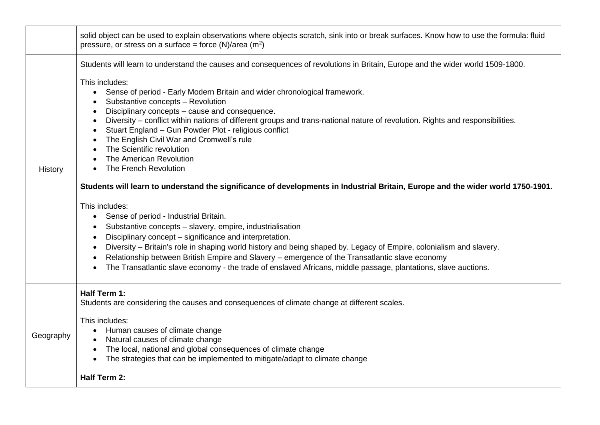|                | solid object can be used to explain observations where objects scratch, sink into or break surfaces. Know how to use the formula: fluid<br>pressure, or stress on a surface = force $(N)/area$ $(m2)$                                                                                                                                                                                                                                                                                                                                                                                                                                                                                                                                                                                                                                                                                                                                                                                                                                                                                                                                                                                                                                                                                                                                   |
|----------------|-----------------------------------------------------------------------------------------------------------------------------------------------------------------------------------------------------------------------------------------------------------------------------------------------------------------------------------------------------------------------------------------------------------------------------------------------------------------------------------------------------------------------------------------------------------------------------------------------------------------------------------------------------------------------------------------------------------------------------------------------------------------------------------------------------------------------------------------------------------------------------------------------------------------------------------------------------------------------------------------------------------------------------------------------------------------------------------------------------------------------------------------------------------------------------------------------------------------------------------------------------------------------------------------------------------------------------------------|
| <b>History</b> | Students will learn to understand the causes and consequences of revolutions in Britain, Europe and the wider world 1509-1800.<br>This includes:<br>Sense of period - Early Modern Britain and wider chronological framework.<br>$\bullet$<br>Substantive concepts - Revolution<br>Disciplinary concepts - cause and consequence.<br>Diversity - conflict within nations of different groups and trans-national nature of revolution. Rights and responsibilities.<br>Stuart England - Gun Powder Plot - religious conflict<br>The English Civil War and Cromwell's rule<br>The Scientific revolution<br>The American Revolution<br>The French Revolution<br>Students will learn to understand the significance of developments in Industrial Britain, Europe and the wider world 1750-1901.<br>This includes:<br>Sense of period - Industrial Britain.<br>$\bullet$<br>Substantive concepts - slavery, empire, industrialisation<br>Disciplinary concept - significance and interpretation.<br>Diversity - Britain's role in shaping world history and being shaped by. Legacy of Empire, colonialism and slavery.<br>Relationship between British Empire and Slavery - emergence of the Transatlantic slave economy<br>The Transatlantic slave economy - the trade of enslaved Africans, middle passage, plantations, slave auctions. |
| Geography      | Half Term 1:<br>Students are considering the causes and consequences of climate change at different scales.<br>This includes:<br>Human causes of climate change<br>Natural causes of climate change<br>The local, national and global consequences of climate change<br>The strategies that can be implemented to mitigate/adapt to climate change<br><b>Half Term 2:</b>                                                                                                                                                                                                                                                                                                                                                                                                                                                                                                                                                                                                                                                                                                                                                                                                                                                                                                                                                               |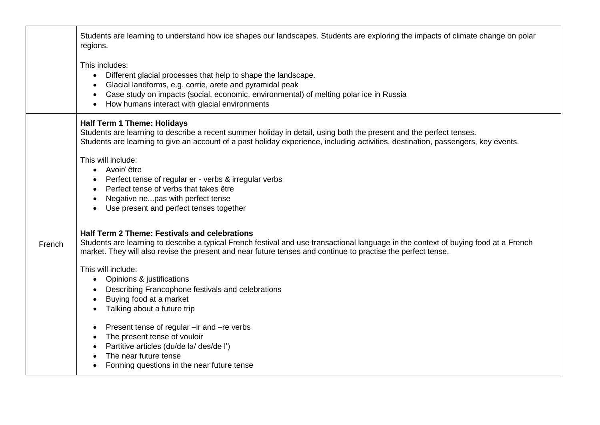|        | Students are learning to understand how ice shapes our landscapes. Students are exploring the impacts of climate change on polar<br>regions.                                                                                                                                                                 |
|--------|--------------------------------------------------------------------------------------------------------------------------------------------------------------------------------------------------------------------------------------------------------------------------------------------------------------|
|        | This includes:<br>Different glacial processes that help to shape the landscape.<br>$\bullet$<br>Glacial landforms, e.g. corrie, arete and pyramidal peak<br>Case study on impacts (social, economic, environmental) of melting polar ice in Russia<br>How humans interact with glacial environments          |
|        | <b>Half Term 1 Theme: Holidays</b><br>Students are learning to describe a recent summer holiday in detail, using both the present and the perfect tenses.<br>Students are learning to give an account of a past holiday experience, including activities, destination, passengers, key events.               |
|        | This will include:<br>• Avoir/être<br>Perfect tense of regular er - verbs & irregular verbs<br>Perfect tense of verbs that takes être<br>Negative nepas with perfect tense<br>Use present and perfect tenses together                                                                                        |
| French | <b>Half Term 2 Theme: Festivals and celebrations</b><br>Students are learning to describe a typical French festival and use transactional language in the context of buying food at a French<br>market. They will also revise the present and near future tenses and continue to practise the perfect tense. |
|        | This will include:<br>Opinions & justifications<br>$\bullet$<br>Describing Francophone festivals and celebrations<br>Buying food at a market<br>Talking about a future trip<br>$\bullet$                                                                                                                     |
|        | Present tense of regular - ir and - re verbs<br>$\bullet$<br>The present tense of vouloir<br>$\bullet$<br>Partitive articles (du/de la/ des/de l')<br>The near future tense<br>Forming questions in the near future tense                                                                                    |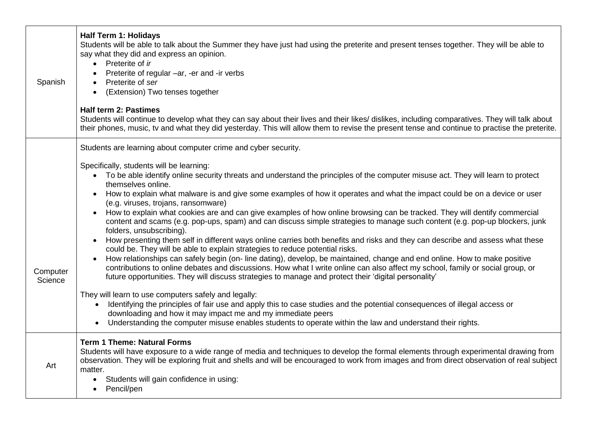| <b>Half Term 1: Holidays</b><br>Students will be able to talk about the Summer they have just had using the preterite and present tenses together. They will be able to<br>say what they did and express an opinion.<br>• Preterite of ir<br>Preterite of regular -ar, -er and -ir verbs<br>Preterite of ser<br>(Extension) Two tenses together<br><b>Half term 2: Pastimes</b><br>Students will continue to develop what they can say about their lives and their likes/ dislikes, including comparatives. They will talk about<br>their phones, music, tv and what they did yesterday. This will allow them to revise the present tense and continue to practise the preterite. |
|-----------------------------------------------------------------------------------------------------------------------------------------------------------------------------------------------------------------------------------------------------------------------------------------------------------------------------------------------------------------------------------------------------------------------------------------------------------------------------------------------------------------------------------------------------------------------------------------------------------------------------------------------------------------------------------|
| Students are learning about computer crime and cyber security.                                                                                                                                                                                                                                                                                                                                                                                                                                                                                                                                                                                                                    |
| Specifically, students will be learning:<br>• To be able identify online security threats and understand the principles of the computer misuse act. They will learn to protect<br>themselves online.<br>How to explain what malware is and give some examples of how it operates and what the impact could be on a device or user<br>(e.g. viruses, trojans, ransomware)<br>How to explain what cookies are and can give examples of how online browsing can be tracked. They will dentify commercial<br>content and scams (e.g. pop-ups, spam) and can discuss simple strategies to manage such content (e.g. pop-up blockers, junk                                              |
| folders, unsubscribing).<br>How presenting them self in different ways online carries both benefits and risks and they can describe and assess what these<br>could be. They will be able to explain strategies to reduce potential risks.<br>How relationships can safely begin (on-line dating), develop, be maintained, change and end online. How to make positive<br>contributions to online debates and discussions. How what I write online can also affect my school, family or social group, or<br>future opportunities. They will discuss strategies to manage and protect their 'digital personality'                                                                   |
| They will learn to use computers safely and legally:<br>Identifying the principles of fair use and apply this to case studies and the potential consequences of illegal access or<br>$\bullet$<br>downloading and how it may impact me and my immediate peers<br>Understanding the computer misuse enables students to operate within the law and understand their rights.                                                                                                                                                                                                                                                                                                        |
| <b>Term 1 Theme: Natural Forms</b><br>Students will have exposure to a wide range of media and techniques to develop the formal elements through experimental drawing from<br>observation. They will be exploring fruit and shells and will be encouraged to work from images and from direct observation of real subject<br>matter.<br>Students will gain confidence in using:<br>$\bullet$<br>Pencil/pen                                                                                                                                                                                                                                                                        |
|                                                                                                                                                                                                                                                                                                                                                                                                                                                                                                                                                                                                                                                                                   |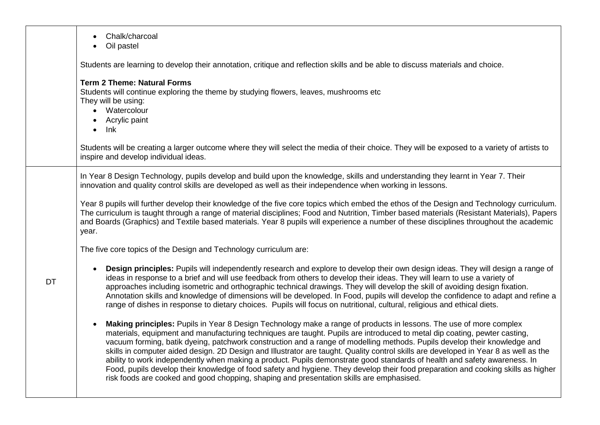|           | Chalk/charcoal<br>$\bullet$<br>Oil pastel<br>$\bullet$                                                                                                                                                                                                                                                                                                                                                                                                                                                                                                                                                                                                                                                                                                                                                                                                                                          |
|-----------|-------------------------------------------------------------------------------------------------------------------------------------------------------------------------------------------------------------------------------------------------------------------------------------------------------------------------------------------------------------------------------------------------------------------------------------------------------------------------------------------------------------------------------------------------------------------------------------------------------------------------------------------------------------------------------------------------------------------------------------------------------------------------------------------------------------------------------------------------------------------------------------------------|
|           | Students are learning to develop their annotation, critique and reflection skills and be able to discuss materials and choice.                                                                                                                                                                                                                                                                                                                                                                                                                                                                                                                                                                                                                                                                                                                                                                  |
|           | <b>Term 2 Theme: Natural Forms</b><br>Students will continue exploring the theme by studying flowers, leaves, mushrooms etc<br>They will be using:<br>• Watercolour<br>• Acrylic paint<br>$\bullet$ Ink                                                                                                                                                                                                                                                                                                                                                                                                                                                                                                                                                                                                                                                                                         |
|           | Students will be creating a larger outcome where they will select the media of their choice. They will be exposed to a variety of artists to<br>inspire and develop individual ideas.                                                                                                                                                                                                                                                                                                                                                                                                                                                                                                                                                                                                                                                                                                           |
|           | In Year 8 Design Technology, pupils develop and build upon the knowledge, skills and understanding they learnt in Year 7. Their<br>innovation and quality control skills are developed as well as their independence when working in lessons.                                                                                                                                                                                                                                                                                                                                                                                                                                                                                                                                                                                                                                                   |
|           | Year 8 pupils will further develop their knowledge of the five core topics which embed the ethos of the Design and Technology curriculum.<br>The curriculum is taught through a range of material disciplines; Food and Nutrition, Timber based materials (Resistant Materials), Papers<br>and Boards (Graphics) and Textile based materials. Year 8 pupils will experience a number of these disciplines throughout the academic<br>year.                                                                                                                                                                                                                                                                                                                                                                                                                                                      |
|           | The five core topics of the Design and Technology curriculum are:                                                                                                                                                                                                                                                                                                                                                                                                                                                                                                                                                                                                                                                                                                                                                                                                                               |
| <b>DT</b> | Design principles: Pupils will independently research and explore to develop their own design ideas. They will design a range of<br>ideas in response to a brief and will use feedback from others to develop their ideas. They will learn to use a variety of<br>approaches including isometric and orthographic technical drawings. They will develop the skill of avoiding design fixation.<br>Annotation skills and knowledge of dimensions will be developed. In Food, pupils will develop the confidence to adapt and refine a<br>range of dishes in response to dietary choices. Pupils will focus on nutritional, cultural, religious and ethical diets.                                                                                                                                                                                                                                |
|           | Making principles: Pupils in Year 8 Design Technology make a range of products in lessons. The use of more complex<br>$\bullet$<br>materials, equipment and manufacturing techniques are taught. Pupils are introduced to metal dip coating, pewter casting,<br>vacuum forming, batik dyeing, patchwork construction and a range of modelling methods. Pupils develop their knowledge and<br>skills in computer aided design. 2D Design and Illustrator are taught. Quality control skills are developed in Year 8 as well as the<br>ability to work independently when making a product. Pupils demonstrate good standards of health and safety awareness. In<br>Food, pupils develop their knowledge of food safety and hygiene. They develop their food preparation and cooking skills as higher<br>risk foods are cooked and good chopping, shaping and presentation skills are emphasised. |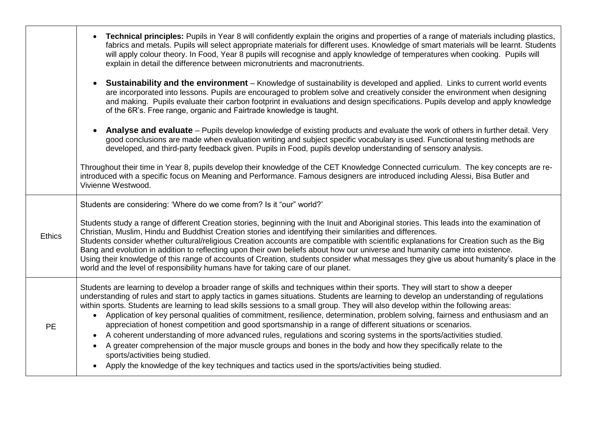|               | Technical principles: Pupils in Year 8 will confidently explain the origins and properties of a range of materials including plastics,<br>fabrics and metals. Pupils will select appropriate materials for different uses. Knowledge of smart materials will be learnt. Students<br>will apply colour theory. In Food, Year 8 pupils will recognise and apply knowledge of temperatures when cooking. Pupils will<br>explain in detail the difference between micronutrients and macronutrients.                                                                                                                                                                                                                                                                                                                                                                                                                                                                                                                                                                                 |
|---------------|----------------------------------------------------------------------------------------------------------------------------------------------------------------------------------------------------------------------------------------------------------------------------------------------------------------------------------------------------------------------------------------------------------------------------------------------------------------------------------------------------------------------------------------------------------------------------------------------------------------------------------------------------------------------------------------------------------------------------------------------------------------------------------------------------------------------------------------------------------------------------------------------------------------------------------------------------------------------------------------------------------------------------------------------------------------------------------|
|               | <b>Sustainability and the environment</b> – Knowledge of sustainability is developed and applied. Links to current world events<br>are incorporated into lessons. Pupils are encouraged to problem solve and creatively consider the environment when designing<br>and making. Pupils evaluate their carbon footprint in evaluations and design specifications. Pupils develop and apply knowledge<br>of the 6R's. Free range, organic and Fairtrade knowledge is taught.                                                                                                                                                                                                                                                                                                                                                                                                                                                                                                                                                                                                        |
|               | Analyse and evaluate - Pupils develop knowledge of existing products and evaluate the work of others in further detail. Very<br>good conclusions are made when evaluation writing and subject specific vocabulary is used. Functional testing methods are<br>developed, and third-party feedback given. Pupils in Food, pupils develop understanding of sensory analysis.                                                                                                                                                                                                                                                                                                                                                                                                                                                                                                                                                                                                                                                                                                        |
|               | Throughout their time in Year 8, pupils develop their knowledge of the CET Knowledge Connected curriculum. The key concepts are re-<br>introduced with a specific focus on Meaning and Performance. Famous designers are introduced including Alessi, Bisa Butler and<br>Vivienne Westwood.                                                                                                                                                                                                                                                                                                                                                                                                                                                                                                                                                                                                                                                                                                                                                                                      |
|               | Students are considering: 'Where do we come from? Is it "our" world?'                                                                                                                                                                                                                                                                                                                                                                                                                                                                                                                                                                                                                                                                                                                                                                                                                                                                                                                                                                                                            |
| <b>Ethics</b> | Students study a range of different Creation stories, beginning with the Inuit and Aboriginal stories. This leads into the examination of<br>Christian, Muslim, Hindu and Buddhist Creation stories and identifying their similarities and differences.<br>Students consider whether cultural/religious Creation accounts are compatible with scientific explanations for Creation such as the Big<br>Bang and evolution in addition to reflecting upon their own beliefs about how our universe and humanity came into existence.<br>Using their knowledge of this range of accounts of Creation, students consider what messages they give us about humanity's place in the<br>world and the level of responsibility humans have for taking care of our planet.                                                                                                                                                                                                                                                                                                                |
| <b>PE</b>     | Students are learning to develop a broader range of skills and techniques within their sports. They will start to show a deeper<br>understanding of rules and start to apply tactics in games situations. Students are learning to develop an understanding of regulations<br>within sports. Students are learning to lead skills sessions to a small group. They will also develop within the following areas:<br>• Application of key personal qualities of commitment, resilience, determination, problem solving, fairness and enthusiasm and an<br>appreciation of honest competition and good sportsmanship in a range of different situations or scenarios.<br>A coherent understanding of more advanced rules, regulations and scoring systems in the sports/activities studied.<br>$\bullet$<br>A greater comprehension of the major muscle groups and bones in the body and how they specifically relate to the<br>$\bullet$<br>sports/activities being studied.<br>Apply the knowledge of the key techniques and tactics used in the sports/activities being studied. |